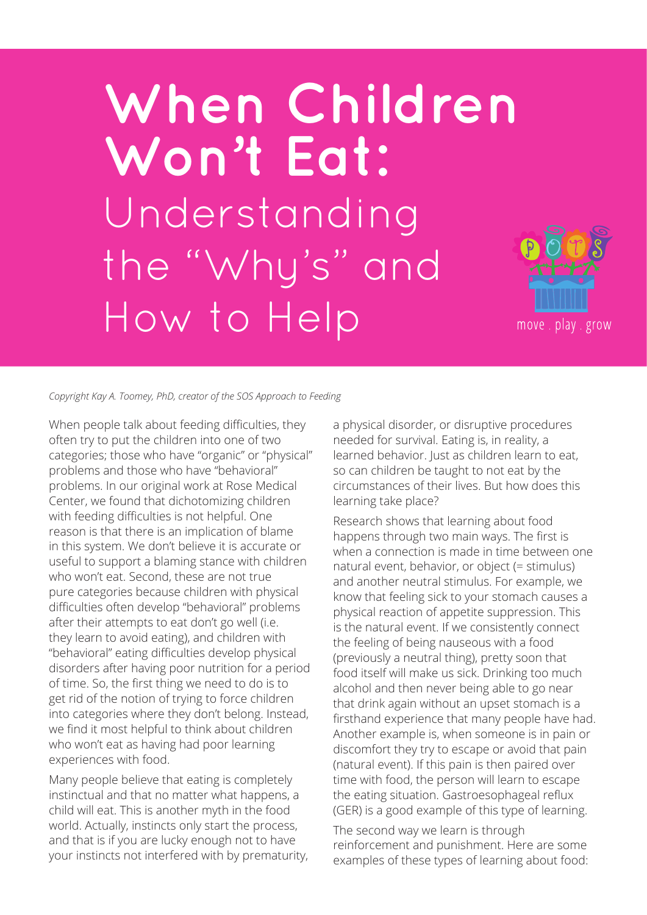# When Children **Won't Eat:**  Understanding the "Why's" and How to Help



*Copyright Kay A. Toomey, PhD, creator of the SOS Approach to Feeding*

When people talk about feeding difficulties, they often try to put the children into one of two categories; those who have "organic" or "physical" problems and those who have "behavioral" problems. In our original work at Rose Medical Center, we found that dichotomizing children with feeding difficulties is not helpful. One reason is that there is an implication of blame in this system. We don't believe it is accurate or useful to support a blaming stance with children who won't eat. Second, these are not true pure categories because children with physical difficulties often develop "behavioral" problems after their attempts to eat don't go well (i.e. they learn to avoid eating), and children with "behavioral" eating difficulties develop physical disorders after having poor nutrition for a period of time. So, the first thing we need to do is to get rid of the notion of trying to force children into categories where they don't belong. Instead, we find it most helpful to think about children who won't eat as having had poor learning experiences with food.

Many people believe that eating is completely instinctual and that no matter what happens, a child will eat. This is another myth in the food world. Actually, instincts only start the process, and that is if you are lucky enough not to have your instincts not interfered with by prematurity, a physical disorder, or disruptive procedures needed for survival. Eating is, in reality, a learned behavior. Just as children learn to eat, so can children be taught to not eat by the circumstances of their lives. But how does this learning take place?

Research shows that learning about food happens through two main ways. The first is when a connection is made in time between one natural event, behavior, or object (= stimulus) and another neutral stimulus. For example, we know that feeling sick to your stomach causes a physical reaction of appetite suppression. This is the natural event. If we consistently connect the feeling of being nauseous with a food (previously a neutral thing), pretty soon that food itself will make us sick. Drinking too much alcohol and then never being able to go near that drink again without an upset stomach is a firsthand experience that many people have had. Another example is, when someone is in pain or discomfort they try to escape or avoid that pain (natural event). If this pain is then paired over time with food, the person will learn to escape the eating situation. Gastroesophageal reflux (GER) is a good example of this type of learning.

The second way we learn is through reinforcement and punishment. Here are some examples of these types of learning about food: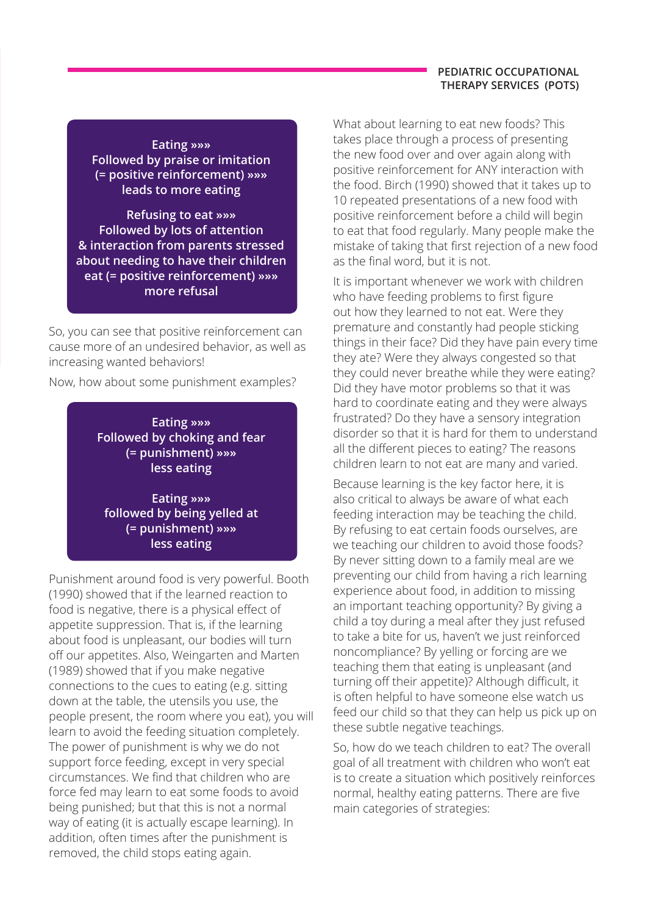#### **PEDIATRIC OCCUPATIONAL THERAPY SERVICES (POTS)**

**Eating »»» Followed by praise or imitation (= positive reinforcement) »»» leads to more eating**

**Refusing to eat »»» Followed by lots of attention & interaction from parents stressed about needing to have their children eat (= positive reinforcement) »»» more refusal**

So, you can see that positive reinforcement can cause more of an undesired behavior, as well as increasing wanted behaviors!

Now, how about some punishment examples?

**Eating »»» Followed by choking and fear (= punishment) »»» less eating**

**Eating »»» followed by being yelled at (= punishment) »»» less eating**

Punishment around food is very powerful. Booth (1990) showed that if the learned reaction to food is negative, there is a physical effect of appetite suppression. That is, if the learning about food is unpleasant, our bodies will turn off our appetites. Also, Weingarten and Marten (1989) showed that if you make negative connections to the cues to eating (e.g. sitting down at the table, the utensils you use, the people present, the room where you eat), you will learn to avoid the feeding situation completely. The power of punishment is why we do not support force feeding, except in very special circumstances. We find that children who are force fed may learn to eat some foods to avoid being punished; but that this is not a normal way of eating (it is actually escape learning). In addition, often times after the punishment is removed, the child stops eating again.

What about learning to eat new foods? This takes place through a process of presenting the new food over and over again along with positive reinforcement for ANY interaction with the food. Birch (1990) showed that it takes up to 10 repeated presentations of a new food with positive reinforcement before a child will begin to eat that food regularly. Many people make the mistake of taking that first rejection of a new food as the final word, but it is not.

It is important whenever we work with children who have feeding problems to first figure out how they learned to not eat. Were they premature and constantly had people sticking things in their face? Did they have pain every time they ate? Were they always congested so that they could never breathe while they were eating? Did they have motor problems so that it was hard to coordinate eating and they were always frustrated? Do they have a sensory integration disorder so that it is hard for them to understand all the different pieces to eating? The reasons children learn to not eat are many and varied.

Because learning is the key factor here, it is also critical to always be aware of what each feeding interaction may be teaching the child. By refusing to eat certain foods ourselves, are we teaching our children to avoid those foods? By never sitting down to a family meal are we preventing our child from having a rich learning experience about food, in addition to missing an important teaching opportunity? By giving a child a toy during a meal after they just refused to take a bite for us, haven't we just reinforced noncompliance? By yelling or forcing are we teaching them that eating is unpleasant (and turning off their appetite)? Although difficult, it is often helpful to have someone else watch us feed our child so that they can help us pick up on these subtle negative teachings.

So, how do we teach children to eat? The overall goal of all treatment with children who won't eat is to create a situation which positively reinforces normal, healthy eating patterns. There are five main categories of strategies: